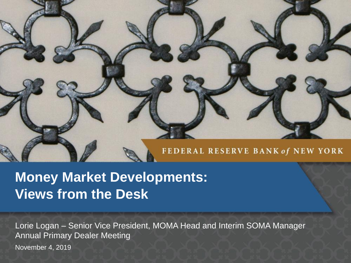## FEDERAL RESERVE BANK of NEW YORK

# **Money Market Developments: Views from the Desk**

November 4, 2019 Lorie Logan – Senior Vice President, MOMA Head and Interim SOMA Manager Annual Primary Dealer Meeting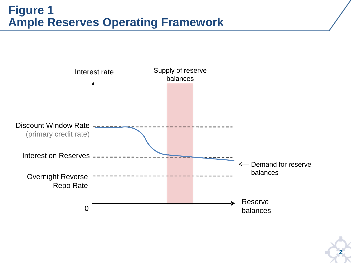#### **Figure 1 Ample Reserves Operating Framework**

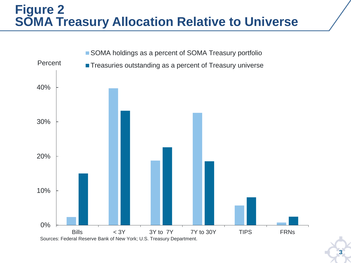## **Figure 2 SOMA Treasury Allocation Relative to Universe**



**3**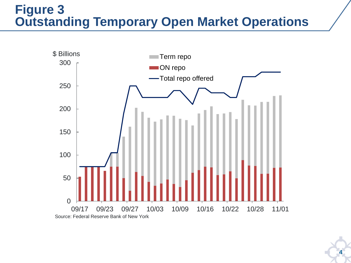## **Figure 3 Outstanding Temporary Open Market Operations**



**4**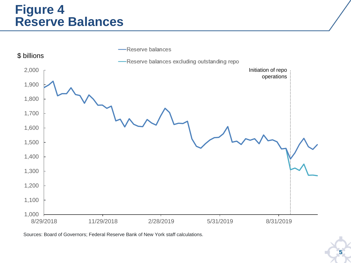#### **Figure 4 Reserve Balances**



Sources: Board of Governors; Federal Reserve Bank of New York staff calculations.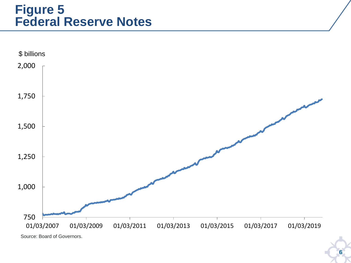### **Figure 5 Federal Reserve Notes**